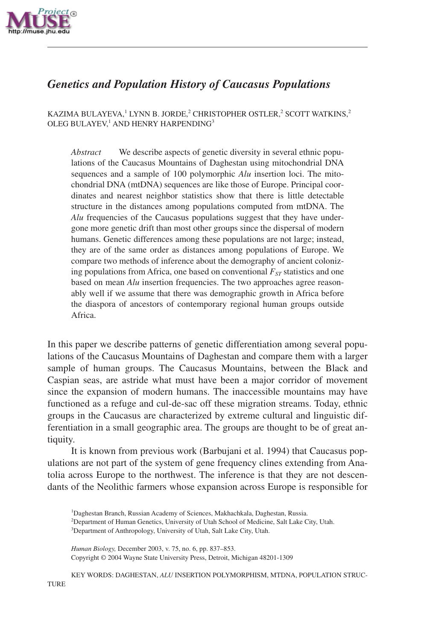

# *Genetics and Population History of Caucasus Populations*

KAZIMA BULAYEVA,<sup>1</sup> LYNN B. JORDE,<sup>2</sup> CHRISTOPHER OSTLER,<sup>2</sup> SCOTT WATKINS,<sup>2</sup> OLEG BULAYEV,<sup>1</sup> AND HENRY HARPENDING<sup>3</sup>

*Abstract* We describe aspects of genetic diversity in several ethnic populations of the Caucasus Mountains of Daghestan using mitochondrial DNA sequences and a sample of 100 polymorphic *Alu* insertion loci. The mitochondrial DNA (mtDNA) sequences are like those of Europe. Principal coordinates and nearest neighbor statistics show that there is little detectable structure in the distances among populations computed from mtDNA. The *Alu* frequencies of the Caucasus populations suggest that they have undergone more genetic drift than most other groups since the dispersal of modern humans. Genetic differences among these populations are not large; instead, they are of the same order as distances among populations of Europe. We compare two methods of inference about the demography of ancient colonizing populations from Africa, one based on conventional  $F_{ST}$  statistics and one based on mean *Alu* insertion frequencies. The two approaches agree reasonably well if we assume that there was demographic growth in Africa before the diaspora of ancestors of contemporary regional human groups outside Africa.

In this paper we describe patterns of genetic differentiation among several populations of the Caucasus Mountains of Daghestan and compare them with a larger sample of human groups. The Caucasus Mountains, between the Black and Caspian seas, are astride what must have been a major corridor of movement since the expansion of modern humans. The inaccessible mountains may have functioned as a refuge and cul-de-sac off these migration streams. Today, ethnic groups in the Caucasus are characterized by extreme cultural and linguistic differentiation in a small geographic area. The groups are thought to be of great antiquity.

It is known from previous work (Barbujani et al. 1994) that Caucasus populations are not part of the system of gene frequency clines extending from Anatolia across Europe to the northwest. The inference is that they are not descendants of the Neolithic farmers whose expansion across Europe is responsible for

*Human Biology,* December 2003, v. 75, no. 6, pp. 837–853. Copyright © 2004 Wayne State University Press, Detroit, Michigan 48201-1309

KEY WORDS: DAGHESTAN, *ALU* INSERTION POLYMORPHISM, MTDNA, POPULATION STRUC-

<sup>&</sup>lt;sup>1</sup>Daghestan Branch, Russian Academy of Sciences, Makhachkala, Daghestan, Russia. <sup>2</sup>Department of Human Genetics, University of Utah School of Medicine, Salt Lake City, Utah. <sup>3</sup>Department of Anthropology, University of Utah, Salt Lake City, Utah.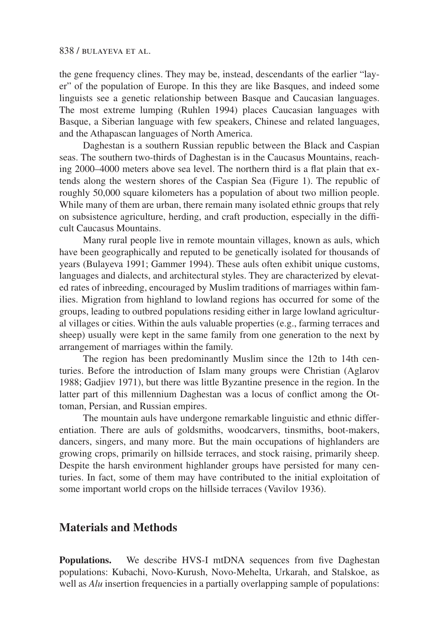the gene frequency clines. They may be, instead, descendants of the earlier "layer" of the population of Europe. In this they are like Basques, and indeed some linguists see a genetic relationship between Basque and Caucasian languages. The most extreme lumping (Ruhlen 1994) places Caucasian languages with Basque, a Siberian language with few speakers, Chinese and related languages, and the Athapascan languages of North America.

Daghestan is a southern Russian republic between the Black and Caspian seas. The southern two-thirds of Daghestan is in the Caucasus Mountains, reaching 2000–4000 meters above sea level. The northern third is a flat plain that extends along the western shores of the Caspian Sea (Figure 1). The republic of roughly 50,000 square kilometers has a population of about two million people. While many of them are urban, there remain many isolated ethnic groups that rely on subsistence agriculture, herding, and craft production, especially in the difficult Caucasus Mountains.

Many rural people live in remote mountain villages, known as auls, which have been geographically and reputed to be genetically isolated for thousands of years (Bulayeva 1991; Gammer 1994). These auls often exhibit unique customs, languages and dialects, and architectural styles. They are characterized by elevated rates of inbreeding, encouraged by Muslim traditions of marriages within families. Migration from highland to lowland regions has occurred for some of the groups, leading to outbred populations residing either in large lowland agricultural villages or cities. Within the auls valuable properties (e.g., farming terraces and sheep) usually were kept in the same family from one generation to the next by arrangement of marriages within the family.

The region has been predominantly Muslim since the 12th to 14th centuries. Before the introduction of Islam many groups were Christian (Aglarov 1988; Gadjiev 1971), but there was little Byzantine presence in the region. In the latter part of this millennium Daghestan was a locus of conflict among the Ottoman, Persian, and Russian empires.

The mountain auls have undergone remarkable linguistic and ethnic differentiation. There are auls of goldsmiths, woodcarvers, tinsmiths, boot-makers, dancers, singers, and many more. But the main occupations of highlanders are growing crops, primarily on hillside terraces, and stock raising, primarily sheep. Despite the harsh environment highlander groups have persisted for many centuries. In fact, some of them may have contributed to the initial exploitation of some important world crops on the hillside terraces (Vavilov 1936).

### **Materials and Methods**

**Populations.** We describe HVS-I mtDNA sequences from five Daghestan populations: Kubachi, Novo-Kurush, Novo-Mehelta, Urkarah, and Stalskoe, as well as *Alu* insertion frequencies in a partially overlapping sample of populations: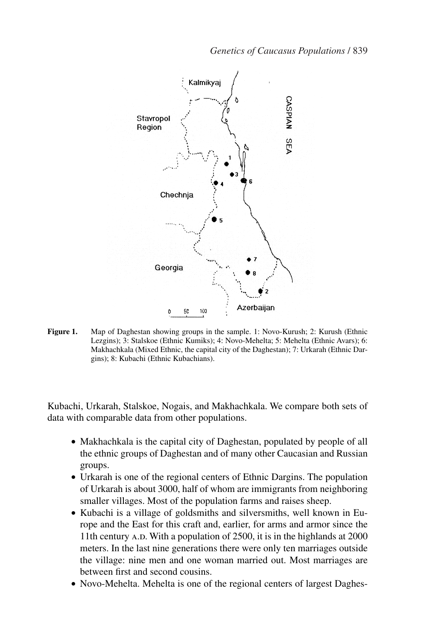

**Figure 1.** Map of Daghestan showing groups in the sample. 1: Novo-Kurush; 2: Kurush (Ethnic Lezgins); 3: Stalskoe (Ethnic Kumiks); 4: Novo-Mehelta; 5: Mehelta (Ethnic Avars); 6: Makhachkala (Mixed Ethnic, the capital city of the Daghestan); 7: Urkarah (Ethnic Dargins); 8: Kubachi (Ethnic Kubachians).

Kubachi, Urkarah, Stalskoe, Nogais, and Makhachkala. We compare both sets of data with comparable data from other populations.

- Makhachkala is the capital city of Daghestan, populated by people of all the ethnic groups of Daghestan and of many other Caucasian and Russian groups.
- Urkarah is one of the regional centers of Ethnic Dargins. The population of Urkarah is about 3000, half of whom are immigrants from neighboring smaller villages. Most of the population farms and raises sheep.
- Kubachi is a village of goldsmiths and silversmiths, well known in Europe and the East for this craft and, earlier, for arms and armor since the 11th century A.D. With a population of  $2500$ , it is in the highlands at  $2000$ meters. In the last nine generations there were only ten marriages outside the village: nine men and one woman married out. Most marriages are between first and second cousins.
- Novo-Mehelta. Mehelta is one of the regional centers of largest Daghes-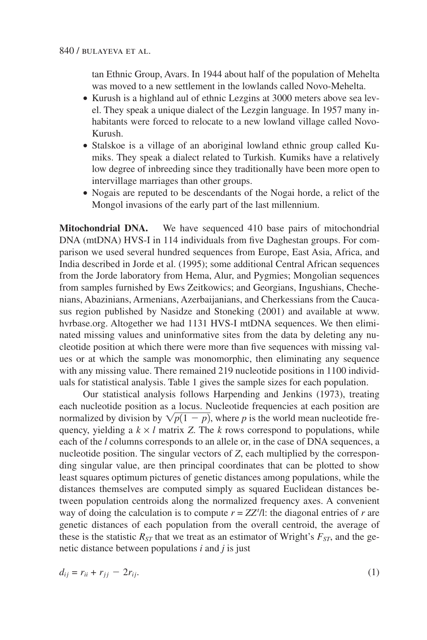tan Ethnic Group, Avars. In 1944 about half of the population of Mehelta was moved to a new settlement in the lowlands called Novo-Mehelta.

- Kurush is a highland aul of ethnic Lezgins at 3000 meters above sea level. They speak a unique dialect of the Lezgin language. In 1957 many inhabitants were forced to relocate to a new lowland village called Novo-Kurush.
- Stalskoe is a village of an aboriginal lowland ethnic group called Kumiks. They speak a dialect related to Turkish. Kumiks have a relatively low degree of inbreeding since they traditionally have been more open to intervillage marriages than other groups.
- Nogais are reputed to be descendants of the Nogai horde, a relict of the Mongol invasions of the early part of the last millennium.

**Mitochondrial DNA.** We have sequenced 410 base pairs of mitochondrial DNA (mtDNA) HVS-I in 114 individuals from five Daghestan groups. For comparison we used several hundred sequences from Europe, East Asia, Africa, and India described in Jorde et al. (1995); some additional Central African sequences from the Jorde laboratory from Hema, Alur, and Pygmies; Mongolian sequences from samples furnished by Ews Zeitkowics; and Georgians, Ingushians, Chechenians, Abazinians, Armenians, Azerbaijanians, and Cherkessians from the Caucasus region published by Nasidze and Stoneking (2001) and available at www. hvrbase.org. Altogether we had 1131 HVS-I mtDNA sequences. We then eliminated missing values and uninformative sites from the data by deleting any nucleotide position at which there were more than five sequences with missing values or at which the sample was monomorphic, then eliminating any sequence with any missing value. There remained 219 nucleotide positions in 1100 individuals for statistical analysis. Table 1 gives the sample sizes for each population.

Our statistical analysis follows Harpending and Jenkins (1973), treating each nucleotide position as a locus. Nucleotide frequencies at each position are normalized by division by  $\sqrt{p(1-p)}$ , where *p* is the world mean nucleotide frequency, yielding a  $k \times l$  matrix *Z*. The *k* rows correspond to populations, while each of the *l* columns corresponds to an allele or, in the case of DNA sequences, a nucleotide position. The singular vectors of *Z*, each multiplied by the corresponding singular value, are then principal coordinates that can be plotted to show least squares optimum pictures of genetic distances among populations, while the distances themselves are computed simply as squared Euclidean distances between population centroids along the normalized frequency axes. A convenient way of doing the calculation is to compute  $r = ZZ<sup>t</sup>/1$ : the diagonal entries of  $r$  are genetic distances of each population from the overall centroid, the average of these is the statistic  $R_{ST}$  that we treat as an estimator of Wright's  $F_{ST}$ , and the genetic distance between populations *i* and *j* is just

$$
d_{ij} = r_{ii} + r_{jj} - 2r_{ij}.\tag{1}
$$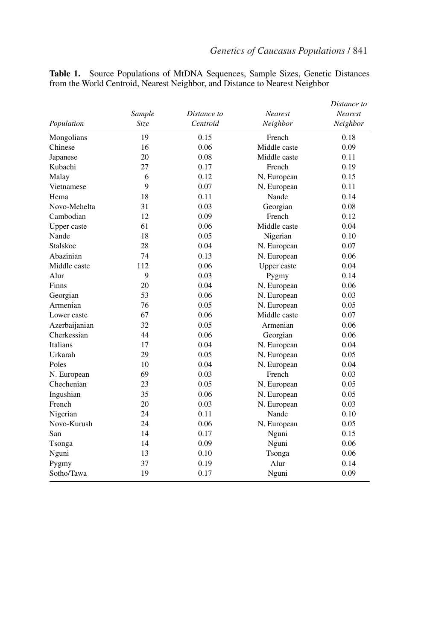|                 |             |             |                | Distance to    |
|-----------------|-------------|-------------|----------------|----------------|
|                 | Sample      | Distance to | <b>Nearest</b> | <b>Nearest</b> |
| Population      | <b>Size</b> | Centroid    | Neighbor       | Neighbor       |
| Mongolians      | 19          | 0.15        | French         | 0.18           |
| Chinese         | 16          | 0.06        | Middle caste   | 0.09           |
| Japanese        | 20          | 0.08        | Middle caste   | 0.11           |
| Kubachi         | 27          | 0.17        | French         | 0.19           |
| Malay           | 6           | 0.12        | N. European    | 0.15           |
| Vietnamese      | 9           | 0.07        | N. European    | 0.11           |
| Hema            | 18          | 0.11        | Nande          | 0.14           |
| Novo-Mehelta    | 31          | 0.03        | Georgian       | 0.08           |
| Cambodian       | 12          | 0.09        | French         | 0.12           |
| Upper caste     | 61          | 0.06        | Middle caste   | 0.04           |
| Nande           | 18          | 0.05        | Nigerian       | 0.10           |
| Stalskoe        | 28          | 0.04        | N. European    | 0.07           |
| Abazinian       | 74          | 0.13        | N. European    | 0.06           |
| Middle caste    | 112         | 0.06        | Upper caste    | 0.04           |
| Alur            | 9           | 0.03        | Pygmy          | 0.14           |
| Finns           | 20          | 0.04        | N. European    | 0.06           |
| Georgian        | 53          | 0.06        | N. European    | 0.03           |
| Armenian        | 76          | 0.05        | N. European    | 0.05           |
| Lower caste     | 67          | 0.06        | Middle caste   | 0.07           |
| Azerbaijanian   | 32          | 0.05        | Armenian       | 0.06           |
| Cherkessian     | 44          | 0.06        | Georgian       | 0.06           |
| <b>Italians</b> | 17          | 0.04        | N. European    | 0.04           |
| Urkarah         | 29          | 0.05        | N. European    | 0.05           |
| Poles           | 10          | 0.04        | N. European    | 0.04           |
| N. European     | 69          | 0.03        | French         | 0.03           |
| Chechenian      | 23          | 0.05        | N. European    | 0.05           |
| Ingushian       | 35          | 0.06        | N. European    | 0.05           |
| French          | 20          | 0.03        | N. European    | 0.03           |
| Nigerian        | 24          | 0.11        | Nande          | 0.10           |
| Novo-Kurush     | 24          | 0.06        | N. European    | 0.05           |
| San             | 14          | 0.17        | Nguni          | 0.15           |
| Tsonga          | 14          | 0.09        | Nguni          | 0.06           |
| Nguni           | 13          | 0.10        | Tsonga         | 0.06           |
| Pygmy           | 37          | 0.19        | Alur           | 0.14           |
| Sotho/Tawa      | 19          | 0.17        | Nguni          | 0.09           |

**Table 1.** Source Populations of MtDNA Sequences, Sample Sizes, Genetic Distances from the World Centroid, Nearest Neighbor, and Distance to Nearest Neighbor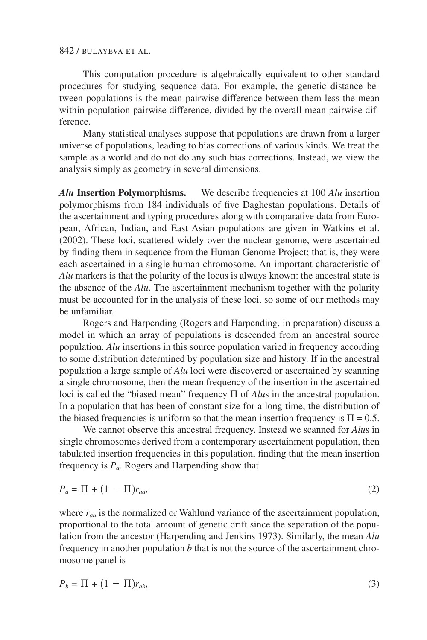This computation procedure is algebraically equivalent to other standard procedures for studying sequence data. For example, the genetic distance between populations is the mean pairwise difference between them less the mean within-population pairwise difference, divided by the overall mean pairwise difference.

Many statistical analyses suppose that populations are drawn from a larger universe of populations, leading to bias corrections of various kinds. We treat the sample as a world and do not do any such bias corrections. Instead, we view the analysis simply as geometry in several dimensions.

*Alu* **Insertion Polymorphisms.** We describe frequencies at 100 *Alu* insertion polymorphisms from 184 individuals of five Daghestan populations. Details of the ascertainment and typing procedures along with comparative data from European, African, Indian, and East Asian populations are given in Watkins et al. (2002). These loci, scattered widely over the nuclear genome, were ascertained by finding them in sequence from the Human Genome Project; that is, they were each ascertained in a single human chromosome. An important characteristic of *Alu* markers is that the polarity of the locus is always known: the ancestral state is the absence of the *Alu*. The ascertainment mechanism together with the polarity must be accounted for in the analysis of these loci, so some of our methods may be unfamiliar.

Rogers and Harpending (Rogers and Harpending, in preparation) discuss a model in which an array of populations is descended from an ancestral source population. *Alu* insertions in this source population varied in frequency according to some distribution determined by population size and history. If in the ancestral population a large sample of *Alu* loci were discovered or ascertained by scanning a single chromosome, then the mean frequency of the insertion in the ascertained loci is called the "biased mean" frequency Π of *Alu*s in the ancestral population. In a population that has been of constant size for a long time, the distribution of the biased frequencies is uniform so that the mean insertion frequency is  $\Pi = 0.5$ .

We cannot observe this ancestral frequency. Instead we scanned for *Alu*s in single chromosomes derived from a contemporary ascertainment population, then tabulated insertion frequencies in this population, finding that the mean insertion frequency is *Pa*. Rogers and Harpending show that

$$
P_a = \Pi + (1 - \Pi)r_{aa},\tag{2}
$$

where  $r_{aa}$  is the normalized or Wahlund variance of the ascertainment population, proportional to the total amount of genetic drift since the separation of the population from the ancestor (Harpending and Jenkins 1973). Similarly, the mean *Alu* frequency in another population *b* that is not the source of the ascertainment chromosome panel is

$$
P_b = \Pi + (1 - \Pi)r_{ab},\tag{3}
$$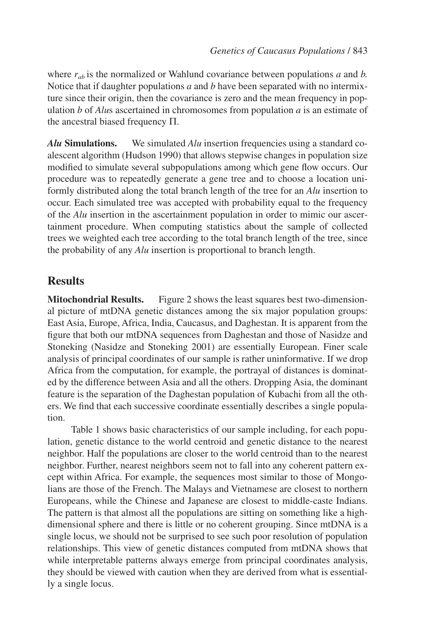where *rab* is the normalized or Wahlund covariance between populations *a* and *b.* Notice that if daughter populations *a* and *b* have been separated with no intermixture since their origin, then the covariance is zero and the mean frequency in population *b* of *Alu*s ascertained in chromosomes from population *a* is an estimate of the ancestral biased frequency Π.

*Alu* **Simulations.** We simulated *Alu* insertion frequencies using a standard coalescent algorithm (Hudson 1990) that allows stepwise changes in population size modified to simulate several subpopulations among which gene flow occurs. Our procedure was to repeatedly generate a gene tree and to choose a location uniformly distributed along the total branch length of the tree for an *Alu* insertion to occur. Each simulated tree was accepted with probability equal to the frequency of the *Alu* insertion in the ascertainment population in order to mimic our ascertainment procedure. When computing statistics about the sample of collected trees we weighted each tree according to the total branch length of the tree, since the probability of any *Alu* insertion is proportional to branch length.

# **Results**

**Mitochondrial Results.** Figure 2 shows the least squares best two-dimensional picture of mtDNA genetic distances among the six major population groups: East Asia, Europe, Africa, India, Caucasus, and Daghestan. It is apparent from the figure that both our mtDNA sequences from Daghestan and those of Nasidze and Stoneking (Nasidze and Stoneking 2001) are essentially European. Finer scale analysis of principal coordinates of our sample is rather uninformative. If we drop Africa from the computation, for example, the portrayal of distances is dominated by the difference between Asia and all the others. Dropping Asia, the dominant feature is the separation of the Daghestan population of Kubachi from all the others. We find that each successive coordinate essentially describes a single population.

Table 1 shows basic characteristics of our sample including, for each population, genetic distance to the world centroid and genetic distance to the nearest neighbor. Half the populations are closer to the world centroid than to the nearest neighbor. Further, nearest neighbors seem not to fall into any coherent pattern except within Africa. For example, the sequences most similar to those of Mongolians are those of the French. The Malays and Vietnamese are closest to northern Europeans, while the Chinese and Japanese are closest to middle-caste Indians. The pattern is that almost all the populations are sitting on something like a highdimensional sphere and there is little or no coherent grouping. Since mtDNA is a single locus, we should not be surprised to see such poor resolution of population relationships. This view of genetic distances computed from mtDNA shows that while interpretable patterns always emerge from principal coordinates analysis, they should be viewed with caution when they are derived from what is essentially a single locus.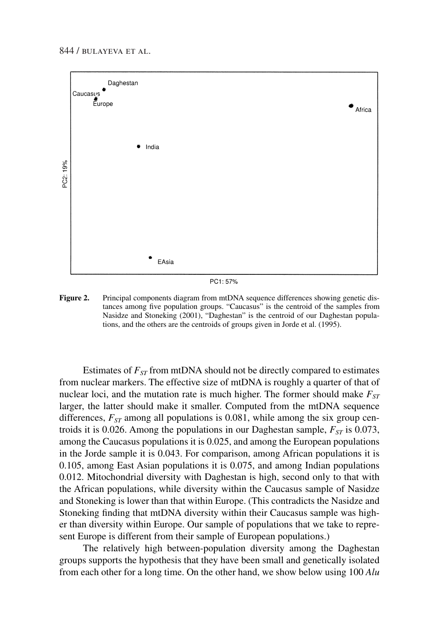

**Figure 2.** Principal components diagram from mtDNA sequence differences showing genetic distances among five population groups. "Caucasus" is the centroid of the samples from Nasidze and Stoneking (2001), "Daghestan" is the centroid of our Daghestan populations, and the others are the centroids of groups given in Jorde et al. (1995).

Estimates of  $F_{ST}$  from mtDNA should not be directly compared to estimates from nuclear markers. The effective size of mtDNA is roughly a quarter of that of nuclear loci, and the mutation rate is much higher. The former should make  $F<sub>ST</sub>$ larger, the latter should make it smaller. Computed from the mtDNA sequence differences,  $F_{ST}$  among all populations is 0.081, while among the six group centroids it is 0.026. Among the populations in our Daghestan sample,  $F_{ST}$  is 0.073, among the Caucasus populations it is 0.025, and among the European populations in the Jorde sample it is 0.043. For comparison, among African populations it is 0.105, among East Asian populations it is 0.075, and among Indian populations 0.012. Mitochondrial diversity with Daghestan is high, second only to that with the African populations, while diversity within the Caucasus sample of Nasidze and Stoneking is lower than that within Europe. (This contradicts the Nasidze and Stoneking finding that mtDNA diversity within their Caucasus sample was higher than diversity within Europe. Our sample of populations that we take to represent Europe is different from their sample of European populations.)

The relatively high between-population diversity among the Daghestan groups supports the hypothesis that they have been small and genetically isolated from each other for a long time. On the other hand, we show below using 100 *Alu*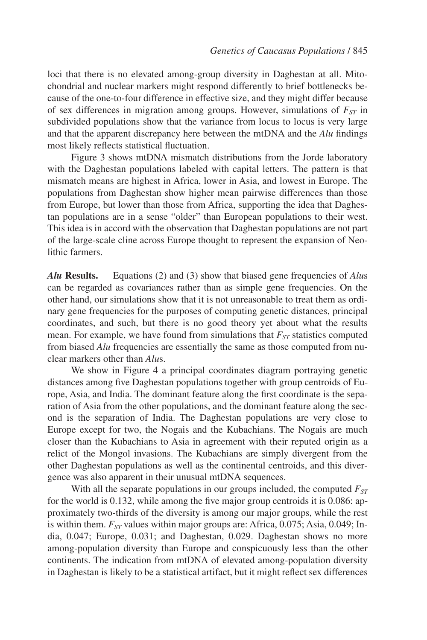loci that there is no elevated among-group diversity in Daghestan at all. Mitochondrial and nuclear markers might respond differently to brief bottlenecks because of the one-to-four difference in effective size, and they might differ because of sex differences in migration among groups. However, simulations of  $F_{ST}$  in subdivided populations show that the variance from locus to locus is very large and that the apparent discrepancy here between the mtDNA and the *Alu* findings most likely reflects statistical fluctuation.

Figure 3 shows mtDNA mismatch distributions from the Jorde laboratory with the Daghestan populations labeled with capital letters. The pattern is that mismatch means are highest in Africa, lower in Asia, and lowest in Europe. The populations from Daghestan show higher mean pairwise differences than those from Europe, but lower than those from Africa, supporting the idea that Daghestan populations are in a sense "older" than European populations to their west. This idea is in accord with the observation that Daghestan populations are not part of the large-scale cline across Europe thought to represent the expansion of Neolithic farmers.

*Alu* **Results.** Equations (2) and (3) show that biased gene frequencies of *Alu*s can be regarded as covariances rather than as simple gene frequencies. On the other hand, our simulations show that it is not unreasonable to treat them as ordinary gene frequencies for the purposes of computing genetic distances, principal coordinates, and such, but there is no good theory yet about what the results mean. For example, we have found from simulations that  $F_{ST}$  statistics computed from biased *Alu* frequencies are essentially the same as those computed from nuclear markers other than *Alu*s.

We show in Figure 4 a principal coordinates diagram portraying genetic distances among five Daghestan populations together with group centroids of Europe, Asia, and India. The dominant feature along the first coordinate is the separation of Asia from the other populations, and the dominant feature along the second is the separation of India. The Daghestan populations are very close to Europe except for two, the Nogais and the Kubachians. The Nogais are much closer than the Kubachians to Asia in agreement with their reputed origin as a relict of the Mongol invasions. The Kubachians are simply divergent from the other Daghestan populations as well as the continental centroids, and this divergence was also apparent in their unusual mtDNA sequences.

With all the separate populations in our groups included, the computed  $F_{ST}$ for the world is 0.132, while among the five major group centroids it is 0.086: approximately two-thirds of the diversity is among our major groups, while the rest is within them.  $F_{ST}$  values within major groups are: Africa, 0.075; Asia, 0.049; India, 0.047; Europe, 0.031; and Daghestan, 0.029. Daghestan shows no more among-population diversity than Europe and conspicuously less than the other continents. The indication from mtDNA of elevated among-population diversity in Daghestan is likely to be a statistical artifact, but it might reflect sex differences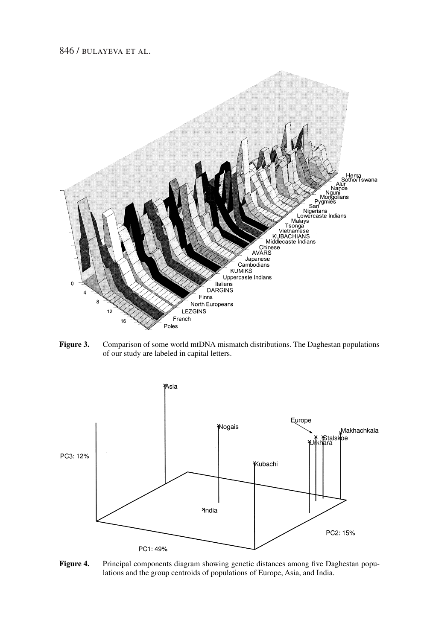### 846 / bulayeva et al.



**Figure 3.** Comparison of some world mtDNA mismatch distributions. The Daghestan populations of our study are labeled in capital letters.



Figure 4. Principal components diagram showing genetic distances among five Daghestan populations and the group centroids of populations of Europe, Asia, and India.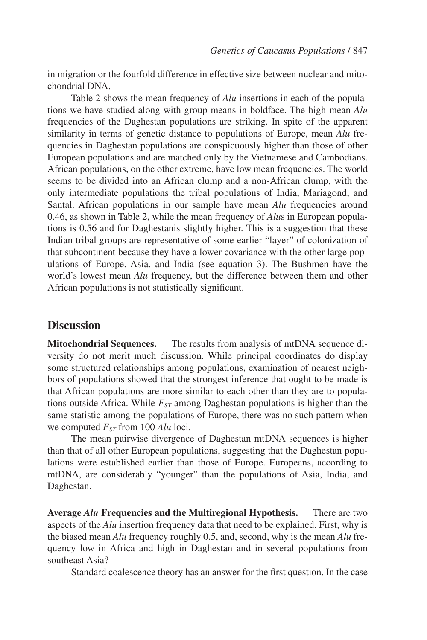in migration or the fourfold difference in effective size between nuclear and mitochondrial DNA.

Table 2 shows the mean frequency of *Alu* insertions in each of the populations we have studied along with group means in boldface. The high mean *Alu* frequencies of the Daghestan populations are striking. In spite of the apparent similarity in terms of genetic distance to populations of Europe, mean *Alu* frequencies in Daghestan populations are conspicuously higher than those of other European populations and are matched only by the Vietnamese and Cambodians. African populations, on the other extreme, have low mean frequencies. The world seems to be divided into an African clump and a non-African clump, with the only intermediate populations the tribal populations of India, Mariagond, and Santal. African populations in our sample have mean *Alu* frequencies around 0.46, as shown in Table 2, while the mean frequency of *Alu*s in European populations is 0.56 and for Daghestanis slightly higher. This is a suggestion that these Indian tribal groups are representative of some earlier "layer" of colonization of that subcontinent because they have a lower covariance with the other large populations of Europe, Asia, and India (see equation 3). The Bushmen have the world's lowest mean *Alu* frequency, but the difference between them and other African populations is not statistically significant.

### **Discussion**

**Mitochondrial Sequences.** The results from analysis of mtDNA sequence diversity do not merit much discussion. While principal coordinates do display some structured relationships among populations, examination of nearest neighbors of populations showed that the strongest inference that ought to be made is that African populations are more similar to each other than they are to populations outside Africa. While  $F_{ST}$  among Daghestan populations is higher than the same statistic among the populations of Europe, there was no such pattern when we computed  $F_{ST}$  from 100  $Alu$  loci.

The mean pairwise divergence of Daghestan mtDNA sequences is higher than that of all other European populations, suggesting that the Daghestan populations were established earlier than those of Europe. Europeans, according to mtDNA, are considerably "younger" than the populations of Asia, India, and Daghestan.

**Average** *Alu* **Frequencies and the Multiregional Hypothesis.** There are two aspects of the *Alu* insertion frequency data that need to be explained. First, why is the biased mean *Alu* frequency roughly 0.5, and, second, why is the mean *Alu* frequency low in Africa and high in Daghestan and in several populations from southeast Asia?

Standard coalescence theory has an answer for the first question. In the case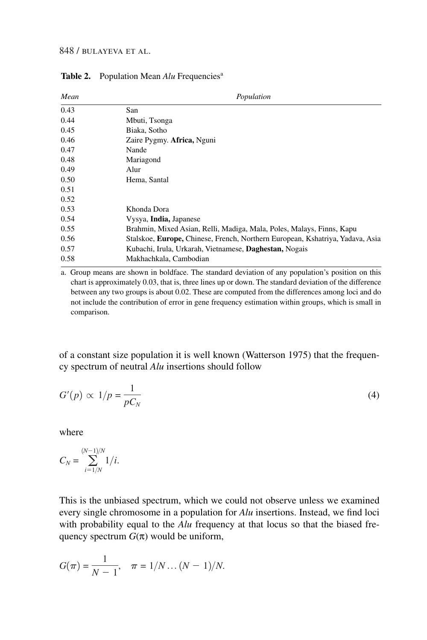#### 848 / bulayeva et al.

| Mean | Population                                                                    |  |  |
|------|-------------------------------------------------------------------------------|--|--|
| 0.43 | San                                                                           |  |  |
| 0.44 | Mbuti, Tsonga                                                                 |  |  |
| 0.45 | Biaka, Sotho                                                                  |  |  |
| 0.46 | Zaire Pygmy. Africa, Nguni                                                    |  |  |
| 0.47 | Nande                                                                         |  |  |
| 0.48 | Mariagond                                                                     |  |  |
| 0.49 | Alur                                                                          |  |  |
| 0.50 | Hema, Santal                                                                  |  |  |
| 0.51 |                                                                               |  |  |
| 0.52 |                                                                               |  |  |
| 0.53 | Khonda Dora                                                                   |  |  |
| 0.54 | Vysya, India, Japanese                                                        |  |  |
| 0.55 | Brahmin, Mixed Asian, Relli, Madiga, Mala, Poles, Malays, Finns, Kapu         |  |  |
| 0.56 | Stalskoe, Europe, Chinese, French, Northern European, Kshatriya, Yadava, Asia |  |  |
| 0.57 | Kubachi, Irula, Urkarah, Vietnamese, Daghestan, Nogais                        |  |  |
| 0.58 | Makhachkala, Cambodian                                                        |  |  |

Table 2. Population Mean *Alu* Frequencies<sup>a</sup>

a. Group means are shown in boldface. The standard deviation of any population's position on this chart is approximately 0.03, that is, three lines up or down. The standard deviation of the difference between any two groups is about 0.02. These are computed from the differences among loci and do not include the contribution of error in gene frequency estimation within groups, which is small in comparison.

of a constant size population it is well known (Watterson 1975) that the frequency spectrum of neutral *Alu* insertions should follow

$$
G'(p) \propto 1/p = \frac{1}{pC_N} \tag{4}
$$

where

$$
C_N = \sum_{i=1/N}^{(N-1)/N} 1/i.
$$

This is the unbiased spectrum, which we could not observe unless we examined every single chromosome in a population for *Alu* insertions. Instead, we find loci with probability equal to the *Alu* frequency at that locus so that the biased frequency spectrum  $G(\pi)$  would be uniform,

$$
G(\pi) = \frac{1}{N-1}, \quad \pi = 1/N \dots (N-1)/N.
$$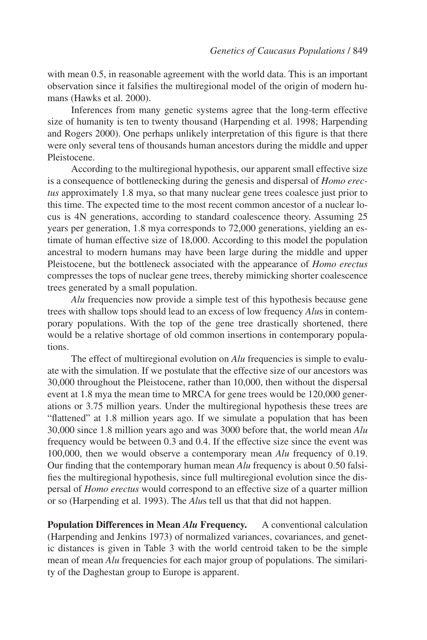with mean 0.5, in reasonable agreement with the world data. This is an important observation since it falsifies the multiregional model of the origin of modern humans (Hawks et al. 2000).

Inferences from many genetic systems agree that the long-term effective size of humanity is ten to twenty thousand (Harpending et al. 1998; Harpending and Rogers 2000). One perhaps unlikely interpretation of this figure is that there were only several tens of thousands human ancestors during the middle and upper Pleistocene.

According to the multiregional hypothesis, our apparent small effective size is a consequence of bottlenecking during the genesis and dispersal of *Homo erectus* approximately 1.8 mya, so that many nuclear gene trees coalesce just prior to this time. The expected time to the most recent common ancestor of a nuclear locus is 4N generations, according to standard coalescence theory. Assuming 25 years per generation, 1.8 mya corresponds to 72,000 generations, yielding an estimate of human effective size of 18,000. According to this model the population ancestral to modern humans may have been large during the middle and upper Pleistocene, but the bottleneck associated with the appearance of *Homo erectus* compresses the tops of nuclear gene trees, thereby mimicking shorter coalescence trees generated by a small population.

*Alu* frequencies now provide a simple test of this hypothesis because gene trees with shallow tops should lead to an excess of low frequency *Alu*s in contemporary populations. With the top of the gene tree drastically shortened, there would be a relative shortage of old common insertions in contemporary populations.

The effect of multiregional evolution on *Alu* frequencies is simple to evaluate with the simulation. If we postulate that the effective size of our ancestors was 30,000 throughout the Pleistocene, rather than 10,000, then without the dispersal event at 1.8 mya the mean time to MRCA for gene trees would be 120,000 generations or 3.75 million years. Under the multiregional hypothesis these trees are "flattened" at 1.8 million years ago. If we simulate a population that has been 30,000 since 1.8 million years ago and was 3000 before that, the world mean *Alu* frequency would be between 0.3 and 0.4. If the effective size since the event was 100,000, then we would observe a contemporary mean *Alu* frequency of 0.19. Our finding that the contemporary human mean *Alu* frequency is about 0.50 falsifies the multiregional hypothesis, since full multiregional evolution since the dispersal of *Homo erectus* would correspond to an effective size of a quarter million or so (Harpending et al. 1993). The *Alu*s tell us that that did not happen.

**Population Differences in Mean** *Alu* **Frequency.** A conventional calculation (Harpending and Jenkins 1973) of normalized variances, covariances, and genetic distances is given in Table 3 with the world centroid taken to be the simple mean of mean *Alu* frequencies for each major group of populations. The similarity of the Daghestan group to Europe is apparent.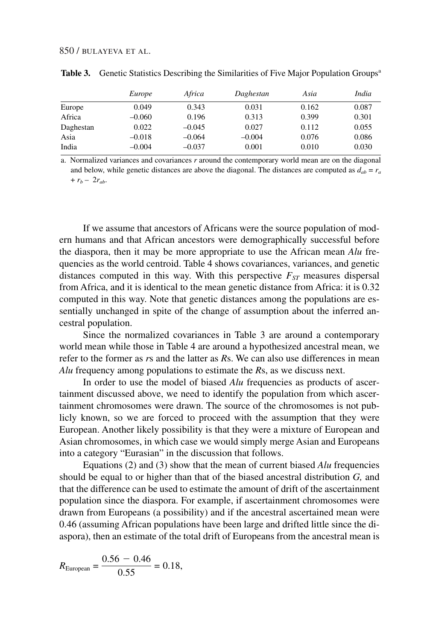|           | Europe   | Africa   | Daghestan | Asia  | India |
|-----------|----------|----------|-----------|-------|-------|
| Europe    | 0.049    | 0.343    | 0.031     | 0.162 | 0.087 |
| Africa    | $-0.060$ | 0.196    | 0.313     | 0.399 | 0.301 |
| Daghestan | 0.022    | $-0.045$ | 0.027     | 0.112 | 0.055 |
| Asia      | $-0.018$ | $-0.064$ | $-0.004$  | 0.076 | 0.086 |
| India     | $-0.004$ | $-0.037$ | 0.001     | 0.010 | 0.030 |

**Table 3.** Genetic Statistics Describing the Similarities of Five Major Population Groups<sup>a</sup>

a. Normalized variances and covariances *r* around the contemporary world mean are on the diagonal and below, while genetic distances are above the diagonal. The distances are computed as  $d_{ab} = r_a$  $+r_b - 2r_{ab}$ .

If we assume that ancestors of Africans were the source population of modern humans and that African ancestors were demographically successful before the diaspora, then it may be more appropriate to use the African mean *Alu* frequencies as the world centroid. Table 4 shows covariances, variances, and genetic distances computed in this way. With this perspective  $F_{ST}$  measures dispersal from Africa, and it is identical to the mean genetic distance from Africa: it is 0.32 computed in this way. Note that genetic distances among the populations are essentially unchanged in spite of the change of assumption about the inferred ancestral population.

Since the normalized covariances in Table 3 are around a contemporary world mean while those in Table 4 are around a hypothesized ancestral mean, we refer to the former as *r*s and the latter as *R*s. We can also use differences in mean *Alu* frequency among populations to estimate the *R*s, as we discuss next.

In order to use the model of biased *Alu* frequencies as products of ascertainment discussed above, we need to identify the population from which ascertainment chromosomes were drawn. The source of the chromosomes is not publicly known, so we are forced to proceed with the assumption that they were European. Another likely possibility is that they were a mixture of European and Asian chromosomes, in which case we would simply merge Asian and Europeans into a category "Eurasian" in the discussion that follows.

Equations (2) and (3) show that the mean of current biased *Alu* frequencies should be equal to or higher than that of the biased ancestral distribution *G,* and that the difference can be used to estimate the amount of drift of the ascertainment population since the diaspora. For example, if ascertainment chromosomes were drawn from Europeans (a possibility) and if the ancestral ascertained mean were 0.46 (assuming African populations have been large and drifted little since the diaspora), then an estimate of the total drift of Europeans from the ancestral mean is

$$
R_{\text{European}} = \frac{0.56 - 0.46}{0.55} = 0.18,
$$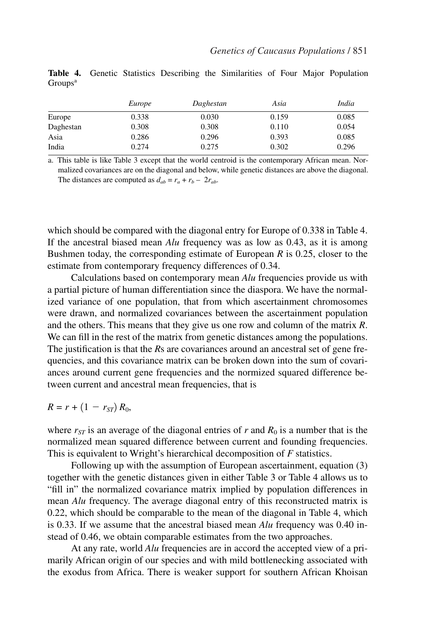|           | Europe | Daghestan | Asia  | India |
|-----------|--------|-----------|-------|-------|
| Europe    | 0.338  | 0.030     | 0.159 | 0.085 |
| Daghestan | 0.308  | 0.308     | 0.110 | 0.054 |
| Asia      | 0.286  | 0.296     | 0.393 | 0.085 |
| India     | 0.274  | 0.275     | 0.302 | 0.296 |

**Table 4.** Genetic Statistics Describing the Similarities of Four Major Population  $Groups<sup>a</sup>$ 

a. This table is like Table 3 except that the world centroid is the contemporary African mean. Normalized covariances are on the diagonal and below, while genetic distances are above the diagonal. The distances are computed as  $d_{ab} = r_a + r_b - 2r_{ab}$ .

which should be compared with the diagonal entry for Europe of 0.338 in Table 4. If the ancestral biased mean *Alu* frequency was as low as 0.43, as it is among Bushmen today, the corresponding estimate of European *R* is 0.25, closer to the estimate from contemporary frequency differences of 0.34.

Calculations based on contemporary mean *Alu* frequencies provide us with a partial picture of human differentiation since the diaspora. We have the normalized variance of one population, that from which ascertainment chromosomes were drawn, and normalized covariances between the ascertainment population and the others. This means that they give us one row and column of the matrix *R*. We can fill in the rest of the matrix from genetic distances among the populations. The justification is that the *R*s are covariances around an ancestral set of gene frequencies, and this covariance matrix can be broken down into the sum of covariances around current gene frequencies and the normized squared difference between current and ancestral mean frequencies, that is

$$
R=r+\left( 1-r_{ST}\right) R_{0},
$$

where  $r_{ST}$  is an average of the diagonal entries of  $r$  and  $R_0$  is a number that is the normalized mean squared difference between current and founding frequencies. This is equivalent to Wright's hierarchical decomposition of *F* statistics.

Following up with the assumption of European ascertainment, equation (3) together with the genetic distances given in either Table 3 or Table 4 allows us to "fill in" the normalized covariance matrix implied by population differences in mean *Alu* frequency. The average diagonal entry of this reconstructed matrix is 0.22, which should be comparable to the mean of the diagonal in Table 4, which is 0.33. If we assume that the ancestral biased mean *Alu* frequency was 0.40 instead of 0.46, we obtain comparable estimates from the two approaches.

At any rate, world *Alu* frequencies are in accord the accepted view of a primarily African origin of our species and with mild bottlenecking associated with the exodus from Africa. There is weaker support for southern African Khoisan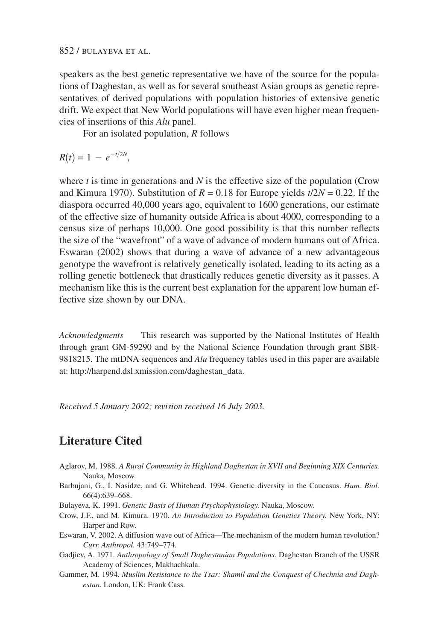speakers as the best genetic representative we have of the source for the populations of Daghestan, as well as for several southeast Asian groups as genetic representatives of derived populations with population histories of extensive genetic drift. We expect that New World populations will have even higher mean frequencies of insertions of this *Alu* panel.

For an isolated population, *R* follows

 $R(t) = 1 - e^{-t/2N}$ ,

where  $t$  is time in generations and  $N$  is the effective size of the population (Crow and Kimura 1970). Substitution of  $R = 0.18$  for Europe yields  $t/2N = 0.22$ . If the diaspora occurred 40,000 years ago, equivalent to 1600 generations, our estimate of the effective size of humanity outside Africa is about 4000, corresponding to a census size of perhaps 10,000. One good possibility is that this number reflects the size of the "wavefront" of a wave of advance of modern humans out of Africa. Eswaran (2002) shows that during a wave of advance of a new advantageous genotype the wavefront is relatively genetically isolated, leading to its acting as a rolling genetic bottleneck that drastically reduces genetic diversity as it passes. A mechanism like this is the current best explanation for the apparent low human effective size shown by our DNA.

*Acknowledgments* This research was supported by the National Institutes of Health through grant GM-59290 and by the National Science Foundation through grant SBR-9818215. The mtDNA sequences and *Alu* frequency tables used in this paper are available at: http://harpend.dsl.xmission.com/daghestan\_data.

*Received 5 January 2002; revision received 16 July 2003.*

# **Literature Cited**

- Aglarov, M. 1988. *A Rural Community in Highland Daghestan in XVII and Beginning XIX Centuries.* Nauka, Moscow.
- Barbujani, G., I. Nasidze, and G. Whitehead. 1994. Genetic diversity in the Caucasus. *Hum. Biol.* 66(4):639–668.
- Bulayeva, K. 1991. *Genetic Basis of Human Psychophysiology.* Nauka, Moscow.
- Crow, J.F., and M. Kimura. 1970. *An Introduction to Population Genetics Theory.* New York, NY: Harper and Row.
- Eswaran, V. 2002. A diffusion wave out of Africa—The mechanism of the modern human revolution? *Curr. Anthropol.* 43:749–774.
- Gadjiev, A. 1971. *Anthropology of Small Daghestanian Populations.* Daghestan Branch of the USSR Academy of Sciences, Makhachkala.
- Gammer, M. 1994. *Muslim Resistance to the Tsar: Shamil and the Conquest of Chechnia and Daghestan.* London, UK: Frank Cass.